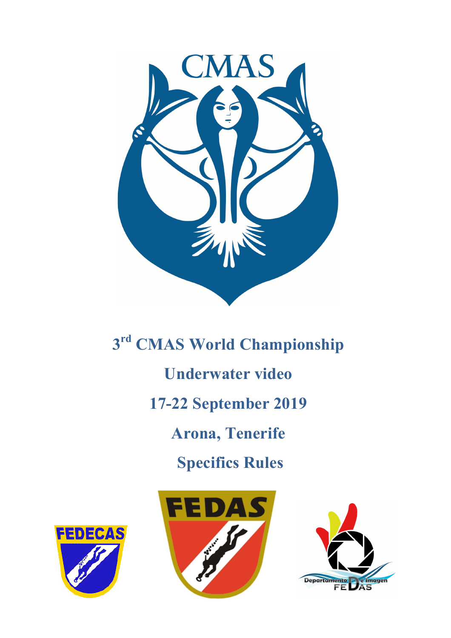

**3rd CMAS World Championship Underwater video 17-22 September 2019 Arona, Tenerife Specifics Rules**





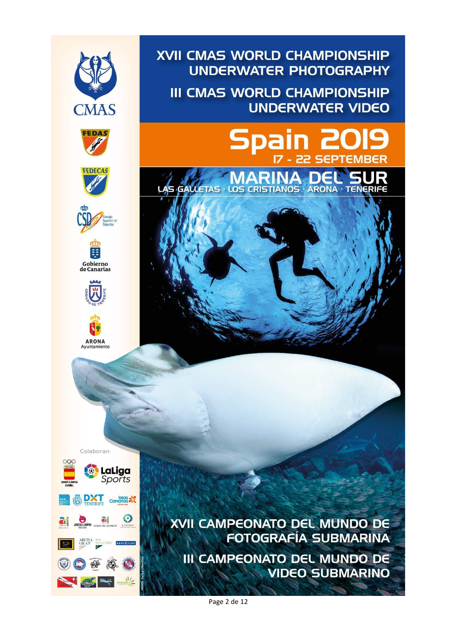

XVII CAMPEONATO DEL MUNDO DE **FOTOGRAFÍA SUBMARINA III CAMPEONATO DEL MUNDO DE VIDEO SUBMARINO** 

**UNDERWATER PHOTOGRAPHY** 

**UNDERWATER VIDEO** 

**SEPTEMB** 

**III CMAS WORLD CHAMPIONSHIP** 

 $\overline{z}$ 

Spain

Page 2 de 12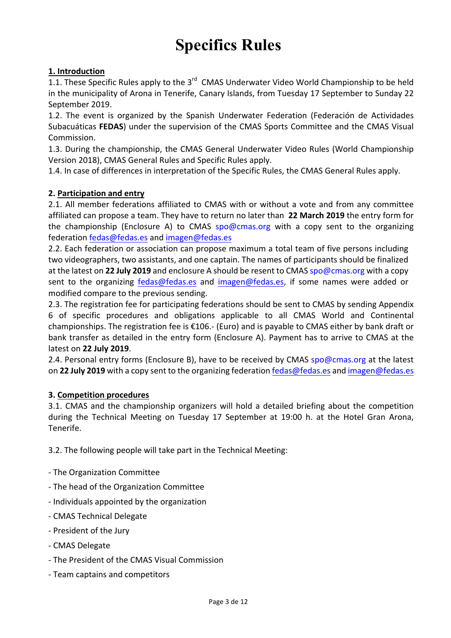# **Specifics Rules**

# **1. Introduction**

1.1. These Specific Rules apply to the 3<sup>rd</sup> CMAS Underwater Video World Championship to be held in the municipality of Arona in Tenerife, Canary Islands, from Tuesday 17 September to Sunday 22 September 2019.

1.2. The event is organized by the Spanish Underwater Federation (Federación de Actividades Subacuáticas **FEDAS**) under the supervision of the CMAS Sports Committee and the CMAS Visual Commission. 

1.3. During the championship, the CMAS General Underwater Video Rules (World Championship Version 2018), CMAS General Rules and Specific Rules apply.

1.4. In case of differences in interpretation of the Specific Rules, the CMAS General Rules apply.

# **2. Participation and entry**

2.1. All member federations affiliated to CMAS with or without a vote and from any committee affiliated can propose a team. They have to return no later than 22 March 2019 the entry form for the championship (Enclosure A) to CMAS spo@cmas.org with a copy sent to the organizing federation fedas@fedas.es and imagen@fedas.es

2.2. Each federation or association can propose maximum a total team of five persons including two videographers, two assistants, and one captain. The names of participants should be finalized at the latest on 22 July 2019 and enclosure A should be resent to CMAS spo@cmas.org with a copy sent to the organizing fedas@fedas.es and imagen@fedas.es, if some names were added or modified compare to the previous sending.

2.3. The registration fee for participating federations should be sent to CMAS by sending Appendix 6 of specific procedures and obligations applicable to all CMAS World and Continental championships. The registration fee is  $£106.-$  (Euro) and is payable to CMAS either by bank draft or bank transfer as detailed in the entry form (Enclosure A). Payment has to arrive to CMAS at the latest on **22 July 2019**.

2.4. Personal entry forms (Enclosure B), have to be received by CMAS spo@cmas.org at the latest on 22 July 2019 with a copy sent to the organizing federation fedas@fedas.es and imagen@fedas.es

#### **3. Competition procedures**

3.1. CMAS and the championship organizers will hold a detailed briefing about the competition during the Technical Meeting on Tuesday 17 September at 19:00 h. at the Hotel Gran Arona, Tenerife. 

3.2. The following people will take part in the Technical Meeting:

- The Organization Committee
- The head of the Organization Committee
- Individuals appointed by the organization
- CMAS Technical Delegate
- President of the Jury
- CMAS Delegate
- The President of the CMAS Visual Commission
- Team captains and competitors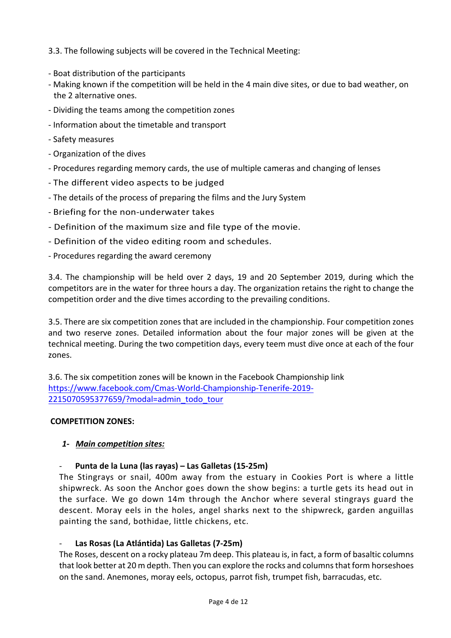3.3. The following subjects will be covered in the Technical Meeting:

- Boat distribution of the participants
- Making known if the competition will be held in the 4 main dive sites, or due to bad weather, on the 2 alternative ones.
- Dividing the teams among the competition zones
- Information about the timetable and transport
- Safety measures
- Organization of the dives
- Procedures regarding memory cards, the use of multiple cameras and changing of lenses
- The different video aspects to be judged
- The details of the process of preparing the films and the Jury System
- Briefing for the non-underwater takes
- Definition of the maximum size and file type of the movie.
- Definition of the video editing room and schedules.
- Procedures regarding the award ceremony

3.4. The championship will be held over 2 days, 19 and 20 September 2019, during which the competitors are in the water for three hours a day. The organization retains the right to change the competition order and the dive times according to the prevailing conditions.

3.5. There are six competition zones that are included in the championship. Four competition zones and two reserve zones. Detailed information about the four major zones will be given at the technical meeting. During the two competition days, every teem must dive once at each of the four zones.

3.6. The six competition zones will be known in the Facebook Championship link https://www.facebook.com/Cmas-World-Championship-Tenerife-2019- 2215070595377659/?modal=admin\_todo\_tour

# **COMPETITION ZONES:**

# *1- Main competition sites:*

# **Punta de la Luna (las rayas) – Las Galletas (15-25m)**

The Stingrays or snail, 400m away from the estuary in Cookies Port is where a little shipwreck. As soon the Anchor goes down the show begins: a turtle gets its head out in the surface. We go down 14m through the Anchor where several stingrays guard the descent. Moray eels in the holes, angel sharks next to the shipwreck, garden anguillas painting the sand, bothidae, little chickens, etc.

# Las Rosas (La Atlántida) Las Galletas (7-25m)

The Roses, descent on a rocky plateau 7m deep. This plateau is, in fact, a form of basaltic columns that look better at 20 m depth. Then you can explore the rocks and columns that form horseshoes on the sand. Anemones, moray eels, octopus, parrot fish, trumpet fish, barracudas, etc.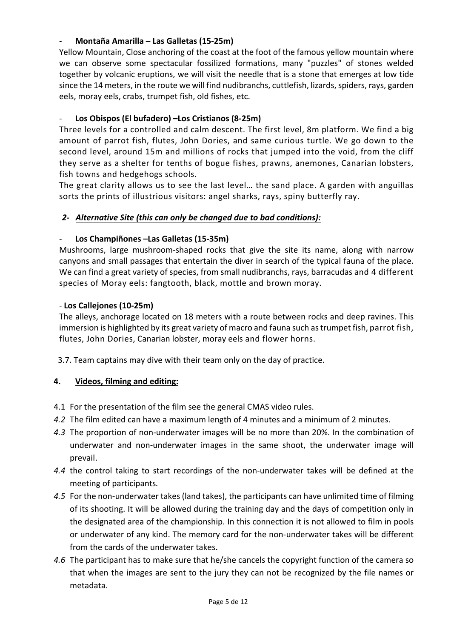# - **Montaña Amarilla – Las Galletas (15-25m)**

Yellow Mountain, Close anchoring of the coast at the foot of the famous yellow mountain where we can observe some spectacular fossilized formations, many "puzzles" of stones welded together by volcanic eruptions, we will visit the needle that is a stone that emerges at low tide since the 14 meters, in the route we will find nudibranchs, cuttlefish, lizards, spiders, rays, garden eels, moray eels, crabs, trumpet fish, old fishes, etc.

# Los Obispos (El bufadero) -Los Cristianos (8-25m)

Three levels for a controlled and calm descent. The first level, 8m platform. We find a big amount of parrot fish, flutes, John Dories, and same curious turtle. We go down to the second level, around 15m and millions of rocks that jumped into the void, from the cliff they serve as a shelter for tenths of bogue fishes, prawns, anemones, Canarian lobsters, fish towns and hedgehogs schools.

The great clarity allows us to see the last level... the sand place. A garden with anguillas sorts the prints of illustrious visitors: angel sharks, rays, spiny butterfly ray.

# 2- Alternative Site (this can only be changed due to bad conditions):

# Los Champiñones – Las Galletas (15-35m)

Mushrooms, large mushroom-shaped rocks that give the site its name, along with narrow canyons and small passages that entertain the diver in search of the typical fauna of the place. We can find a great variety of species, from small nudibranchs, rays, barracudas and 4 different species of Moray eels: fangtooth, black, mottle and brown moray.

## - **Los Callejones (10-25m)**

The alleys, anchorage located on 18 meters with a route between rocks and deep ravines. This immersion is highlighted by its great variety of macro and fauna such as trumpet fish, parrot fish, flutes, John Dories, Canarian lobster, moray eels and flower horns.

3.7. Team captains may dive with their team only on the day of practice.

# **4. Videos, filming and editing:**

- 4.1 For the presentation of the film see the general CMAS video rules.
- 4.2 The film edited can have a maximum length of 4 minutes and a minimum of 2 minutes.
- 4.3 The proportion of non-underwater images will be no more than 20%. In the combination of underwater and non-underwater images in the same shoot, the underwater image will prevail.
- 4.4 the control taking to start recordings of the non-underwater takes will be defined at the meeting of participants*.*
- 4.5 For the non-underwater takes (land takes), the participants can have unlimited time of filming of its shooting. It will be allowed during the training day and the days of competition only in the designated area of the championship. In this connection it is not allowed to film in pools or underwater of any kind. The memory card for the non-underwater takes will be different from the cards of the underwater takes.
- 4.6 The participant has to make sure that he/she cancels the copyright function of the camera so that when the images are sent to the jury they can not be recognized by the file names or metadata.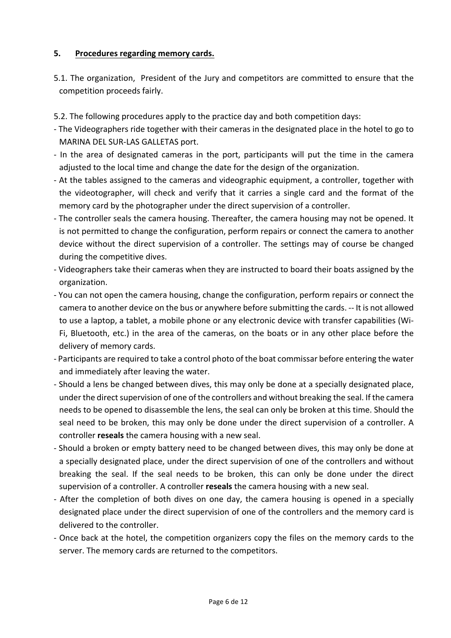# **5. Procedures regarding memory cards.**

- 5.1. The organization, President of the Jury and competitors are committed to ensure that the competition proceeds fairly.
- 5.2. The following procedures apply to the practice day and both competition days:
- The Videographers ride together with their cameras in the designated place in the hotel to go to MARINA DEL SUR-LAS GALLETAS port.
- In the area of designated cameras in the port, participants will put the time in the camera adjusted to the local time and change the date for the design of the organization.
- At the tables assigned to the cameras and videographic equipment, a controller, together with the videotographer, will check and verify that it carries a single card and the format of the memory card by the photographer under the direct supervision of a controller.
- The controller seals the camera housing. Thereafter, the camera housing may not be opened. It is not permitted to change the configuration, perform repairs or connect the camera to another device without the direct supervision of a controller. The settings may of course be changed during the competitive dives.
- Videographers take their cameras when they are instructed to board their boats assigned by the organization.
- You can not open the camera housing, change the configuration, perform repairs or connect the camera to another device on the bus or anywhere before submitting the cards. -- It is not allowed to use a laptop, a tablet, a mobile phone or any electronic device with transfer capabilities (Wi-Fi, Bluetooth, etc.) in the area of the cameras, on the boats or in any other place before the delivery of memory cards.
- Participants are required to take a control photo of the boat commissar before entering the water and immediately after leaving the water.
- Should a lens be changed between dives, this may only be done at a specially designated place, under the direct supervision of one of the controllers and without breaking the seal. If the camera needs to be opened to disassemble the lens, the seal can only be broken at this time. Should the seal need to be broken, this may only be done under the direct supervision of a controller. A controller **reseals** the camera housing with a new seal.
- Should a broken or empty battery need to be changed between dives, this may only be done at a specially designated place, under the direct supervision of one of the controllers and without breaking the seal. If the seal needs to be broken, this can only be done under the direct supervision of a controller. A controller **reseals** the camera housing with a new seal.
- After the completion of both dives on one day, the camera housing is opened in a specially designated place under the direct supervision of one of the controllers and the memory card is delivered to the controller.
- Once back at the hotel, the competition organizers copy the files on the memory cards to the server. The memory cards are returned to the competitors.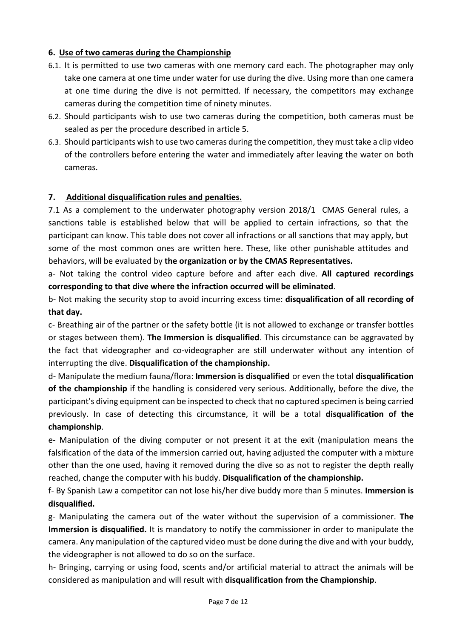# **6.** Use of two cameras during the Championship

- 6.1. It is permitted to use two cameras with one memory card each. The photographer may only take one camera at one time under water for use during the dive. Using more than one camera at one time during the dive is not permitted. If necessary, the competitors may exchange cameras during the competition time of ninety minutes.
- 6.2. Should participants wish to use two cameras during the competition, both cameras must be sealed as per the procedure described in article 5.
- 6.3. Should participants wish to use two cameras during the competition, they must take a clip video of the controllers before entering the water and immediately after leaving the water on both cameras.

# **7.** Additional disqualification rules and penalties.

7.1 As a complement to the underwater photography version 2018/1 CMAS General rules, a sanctions table is established below that will be applied to certain infractions, so that the participant can know. This table does not cover all infractions or all sanctions that may apply, but some of the most common ones are written here. These, like other punishable attitudes and behaviors, will be evaluated by **the organization or by the CMAS Representatives.** 

a- Not taking the control video capture before and after each dive. All captured recordings corresponding to that dive where the infraction occurred will be eliminated.

b- Not making the security stop to avoid incurring excess time: **disqualification of all recording of that day.** The contract of the contract of the contract of the contract of the contract of the contract of the contract of the contract of the contract of the contract of the contract of the contract of the contract of th

c- Breathing air of the partner or the safety bottle (it is not allowed to exchange or transfer bottles or stages between them). **The Immersion is disqualified**. This circumstance can be aggravated by the fact that videographer and co-videographer are still underwater without any intention of interrupting the dive. Disqualification of the championship.

d- Manipulate the medium fauna/flora: **Immersion is disqualified** or even the total **disqualification** of the championship if the handling is considered very serious. Additionally, before the dive, the participant's diving equipment can be inspected to check that no captured specimen is being carried previously. In case of detecting this circumstance, it will be a total **disqualification of the championship**. 

e- Manipulation of the diving computer or not present it at the exit (manipulation means the falsification of the data of the immersion carried out, having adjusted the computer with a mixture other than the one used, having it removed during the dive so as not to register the depth really reached, change the computer with his buddy. **Disqualification of the championship.** 

f- By Spanish Law a competitor can not lose his/her dive buddy more than 5 minutes. **Immersion is** disqualified.

g- Manipulating the camera out of the water without the supervision of a commissioner. The **Immersion is disqualified.** It is mandatory to notify the commissioner in order to manipulate the camera. Any manipulation of the captured video must be done during the dive and with your buddy, the videographer is not allowed to do so on the surface.

h- Bringing, carrying or using food, scents and/or artificial material to attract the animals will be considered as manipulation and will result with **disqualification from the Championship**.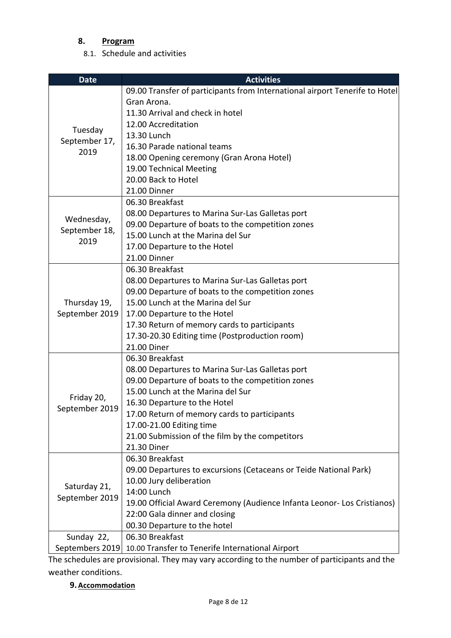# **8. Program**

8.1. Schedule and activities

| <b>Date</b>                      | <b>Activities</b>                                                           |
|----------------------------------|-----------------------------------------------------------------------------|
|                                  | 09.00 Transfer of participants from International airport Tenerife to Hotel |
|                                  | Gran Arona.                                                                 |
|                                  | 11.30 Arrival and check in hotel                                            |
|                                  | 12.00 Accreditation                                                         |
| Tuesday<br>September 17,<br>2019 | 13.30 Lunch                                                                 |
|                                  | 16.30 Parade national teams                                                 |
|                                  | 18.00 Opening ceremony (Gran Arona Hotel)                                   |
|                                  | 19.00 Technical Meeting                                                     |
|                                  | 20.00 Back to Hotel                                                         |
|                                  | 21.00 Dinner                                                                |
|                                  | 06.30 Breakfast                                                             |
|                                  | 08.00 Departures to Marina Sur-Las Galletas port                            |
| Wednesday,                       | 09.00 Departure of boats to the competition zones                           |
| September 18,                    | 15.00 Lunch at the Marina del Sur                                           |
| 2019                             | 17.00 Departure to the Hotel                                                |
|                                  | 21.00 Dinner                                                                |
|                                  | 06.30 Breakfast                                                             |
|                                  | 08.00 Departures to Marina Sur-Las Galletas port                            |
|                                  | 09.00 Departure of boats to the competition zones                           |
| Thursday 19,                     | 15.00 Lunch at the Marina del Sur                                           |
| September 2019                   | 17.00 Departure to the Hotel                                                |
|                                  | 17.30 Return of memory cards to participants                                |
|                                  | 17.30-20.30 Editing time (Postproduction room)                              |
|                                  | 21.00 Diner                                                                 |
|                                  | 06.30 Breakfast                                                             |
|                                  | 08.00 Departures to Marina Sur-Las Galletas port                            |
| Friday 20,<br>September 2019     | 09.00 Departure of boats to the competition zones                           |
|                                  | 15.00 Lunch at the Marina del Sur                                           |
|                                  | 16.30 Departure to the Hotel                                                |
|                                  | 17.00 Return of memory cards to participants                                |
|                                  | 17.00-21.00 Editing time                                                    |
|                                  | 21.00 Submission of the film by the competitors                             |
|                                  | 21.30 Diner                                                                 |
|                                  | 06.30 Breakfast                                                             |
|                                  | 09.00 Departures to excursions (Cetaceans or Teide National Park)           |
| Saturday 21,<br>September 2019   | 10.00 Jury deliberation                                                     |
|                                  | 14:00 Lunch                                                                 |
|                                  | 19.00 Official Award Ceremony (Audience Infanta Leonor- Los Cristianos)     |
|                                  | 22:00 Gala dinner and closing                                               |
|                                  | 00.30 Departure to the hotel                                                |
| Sunday 22,                       | 06.30 Breakfast                                                             |
| Septembers 2019                  | 10.00 Transfer to Tenerife International Airport                            |

The schedules are provisional. They may vary according to the number of participants and the weather conditions.

# **9. Accommodation**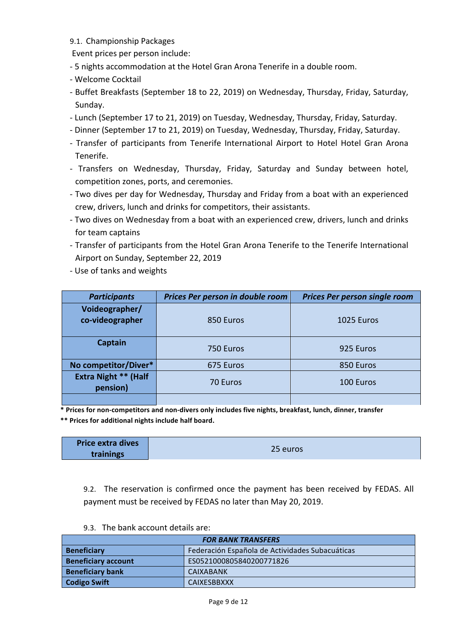9.1. Championship Packages

Event prices per person include:

- 5 nights accommodation at the Hotel Gran Arona Tenerife in a double room.
- Welcome Cocktail
- Buffet Breakfasts (September 18 to 22, 2019) on Wednesday, Thursday, Friday, Saturday, Sunday.
- Lunch (September 17 to 21, 2019) on Tuesday, Wednesday, Thursday, Friday, Saturday.
- Dinner (September 17 to 21, 2019) on Tuesday, Wednesday, Thursday, Friday, Saturday.
- Transfer of participants from Tenerife International Airport to Hotel Hotel Gran Arona Tenerife.
- Transfers on Wednesday, Thursday, Friday, Saturday and Sunday between hotel, competition zones, ports, and ceremonies.
- Two dives per day for Wednesday, Thursday and Friday from a boat with an experienced crew, drivers, lunch and drinks for competitors, their assistants.
- Two dives on Wednesday from a boat with an experienced crew, drivers, lunch and drinks for team captains
- Transfer of participants from the Hotel Gran Arona Tenerife to the Tenerife International Airport on Sunday, September 22, 2019
- Use of tanks and weights

| <b>Participants</b>                     | Prices Per person in double room | <b>Prices Per person single room</b> |
|-----------------------------------------|----------------------------------|--------------------------------------|
| Voideographer/<br>co-videographer       | 850 Euros                        | 1025 Euros                           |
| <b>Captain</b>                          | 750 Euros                        | 925 Euros                            |
| No competitor/Diver*                    | 675 Euros                        | 850 Euros                            |
| <b>Extra Night ** (Half</b><br>pension) | 70 Euros                         | 100 Euros                            |
|                                         |                                  |                                      |

\* Prices for non-competitors and non-divers only includes five nights, breakfast, lunch, dinner, transfer \*\* Prices for additional nights include half board.

| <b>Price extra dives</b> | 25 euros |
|--------------------------|----------|
| trainings                |          |

9.2. The reservation is confirmed once the payment has been received by FEDAS. All payment must be received by FEDAS no later than May 20, 2019.

9.3. The bank account details are:

| <b>FOR BANK TRANSFERS</b>  |                                                 |  |  |
|----------------------------|-------------------------------------------------|--|--|
| <b>Beneficiary</b>         | Federación Española de Actividades Subacuáticas |  |  |
| <b>Beneficiary account</b> | ES0521000805840200771826                        |  |  |
| <b>Beneficiary bank</b>    | <b>CAIXABANK</b>                                |  |  |
| <b>Codigo Swift</b>        | <b>CAIXESBBXXX</b>                              |  |  |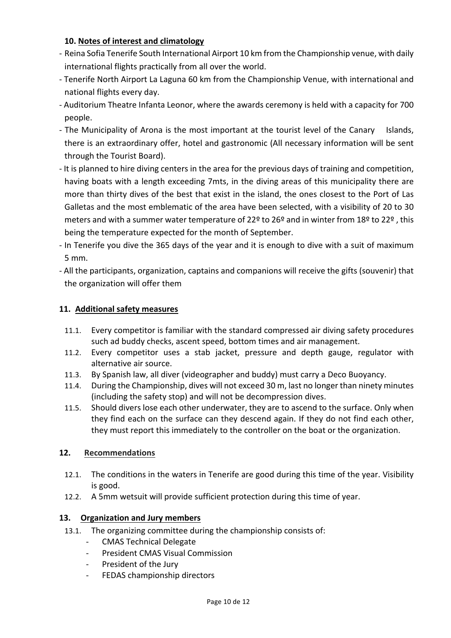# 10. Notes of interest and climatology

- Reina Sofia Tenerife South International Airport 10 km from the Championship venue, with daily international flights practically from all over the world.
- Tenerife North Airport La Laguna 60 km from the Championship Venue, with international and national flights every day.
- Auditorium Theatre Infanta Leonor, where the awards ceremony is held with a capacity for 700 people.
- The Municipality of Arona is the most important at the tourist level of the Canary Islands, there is an extraordinary offer, hotel and gastronomic (All necessary information will be sent through the Tourist Board).
- It is planned to hire diving centers in the area for the previous days of training and competition, having boats with a length exceeding 7mts, in the diving areas of this municipality there are more than thirty dives of the best that exist in the island, the ones closest to the Port of Las Galletas and the most emblematic of the area have been selected, with a visibility of 20 to 30 meters and with a summer water temperature of 22<sup>o</sup> to 26<sup>o</sup> and in winter from 18<sup>o</sup> to 22<sup>o</sup>, this being the temperature expected for the month of September.
- In Tenerife you dive the 365 days of the year and it is enough to dive with a suit of maximum 5 mm.
- All the participants, organization, captains and companions will receive the gifts (souvenir) that the organization will offer them

# **11. Additional safety measures**

- 11.1. Every competitor is familiar with the standard compressed air diving safety procedures such ad buddy checks, ascent speed, bottom times and air management.
- 11.2. Every competitor uses a stab jacket, pressure and depth gauge, regulator with alternative air source.
- 11.3. By Spanish law, all diver (videographer and buddy) must carry a Deco Buoyancy.
- 11.4. During the Championship, dives will not exceed 30 m, last no longer than ninety minutes (including the safety stop) and will not be decompression dives.
- 11.5. Should divers lose each other underwater, they are to ascend to the surface. Only when they find each on the surface can they descend again. If they do not find each other, they must report this immediately to the controller on the boat or the organization.

# **12. Recommendations**

- 12.1. The conditions in the waters in Tenerife are good during this time of the year. Visibility is good.
- 12.2. A 5mm wetsuit will provide sufficient protection during this time of year.

# 13. Organization and Jury members

- 13.1. The organizing committee during the championship consists of:
	- CMAS Technical Delegate
	- President CMAS Visual Commission
	- President of the Jury
	- FEDAS championship directors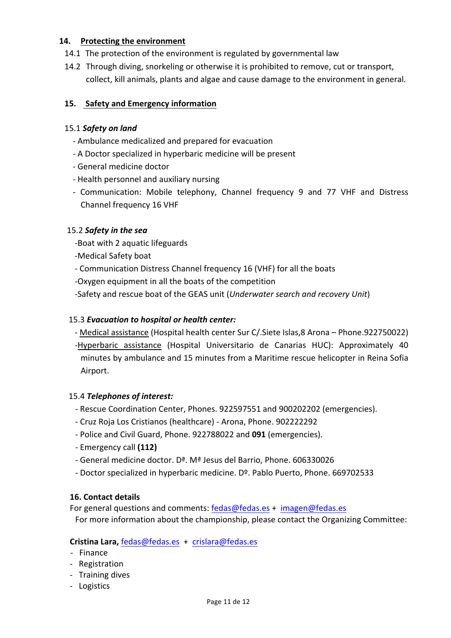# **14.** Protecting the environment

- 14.1 The protection of the environment is regulated by governmental law
- 14.2 Through diving, snorkeling or otherwise it is prohibited to remove, cut or transport, collect, kill animals, plants and algae and cause damage to the environment in general.

## **15. Safety and Emergency information**

#### 15.1 *Safety on land*

- Ambulance medicalized and prepared for evacuation
- A Doctor specialized in hyperbaric medicine will be present
- General medicine doctor
- Health personnel and auxiliary nursing
- Communication: Mobile telephony, Channel frequency 9 and 77 VHF and Distress Channel frequency 16 VHF

## 15.2 Safety in the sea

- -Boat with 2 aquatic lifeguards
- -Medical Safety boat
- Communication Distress Channel frequency 16 (VHF) for all the boats
- -Oxygen equipment in all the boats of the competition
- -Safety and rescue boat of the GEAS unit (*Underwater search and recovery Unit*)

#### 15.3 *Evacuation to hospital or health center:*

- Medical assistance (Hospital health center Sur C/. Siete Islas, 8 Arona Phone. 922750022)
- -Hyperbaric assistance (Hospital Universitario de Canarias HUC): Approximately 40 minutes by ambulance and 15 minutes from a Maritime rescue helicopter in Reina Sofia Airport.

#### 15.4 Telephones of interest:

- Rescue Coordination Center, Phones. 922597551 and 900202202 (emergencies).
- Cruz Roja Los Cristianos (healthcare) Arona, Phone. 902222292
- Police and Civil Guard, Phone. 922788022 and 091 (emergencies).
- Emergency call **(112)**
- General medicine doctor. D<sup>a</sup>. M<sup>a</sup> Jesus del Barrio, Phone. 606330026
- Doctor specialized in hyperbaric medicine. Dº. Pablo Puerto, Phone. 669702533

#### **16. Contact details**

For general questions and comments:  $fedas@fedas.es + imagen@fedas.es$ For more information about the championship, please contact the Organizing Committee:

#### **Cristina Lara,** fedas@fedas.es + crislara@fedas.es

- Finance
- Registration
- Training dives
- Logistics